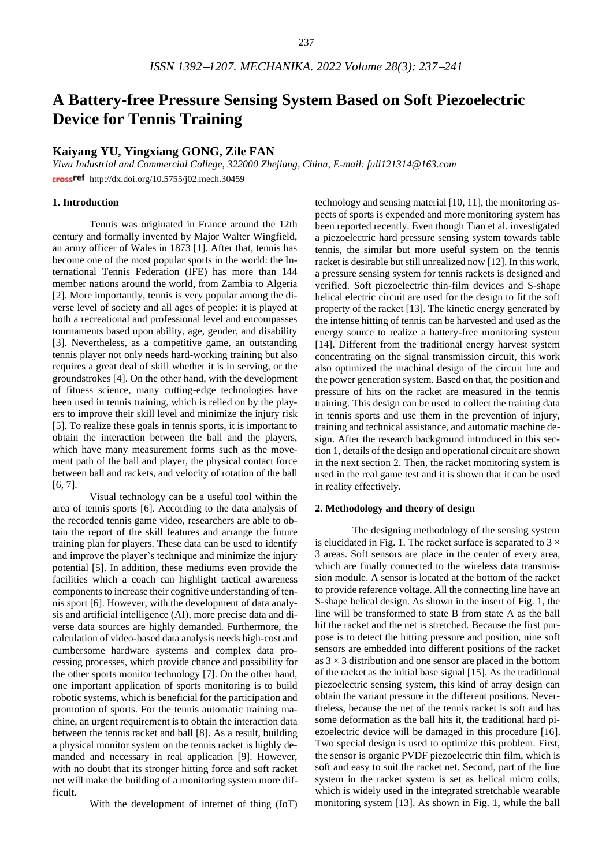# **A Battery-free Pressure Sensing System Based on Soft Piezoelectric Device for Tennis Training**

# **Kaiyang YU, Yingxiang GONG, Zile FAN**

*Yiwu Industrial and Commercial College, 322000 Zhejiang, China, E-mail: [full121314@163.com](mailto:full121314@163.com)* crossref http://dx.doi.org/10.5755/j02.mech.30459

# **1. Introduction**

Tennis was originated in France around the 12th century and formally invented by Major Walter Wingfield, an army officer of Wales in 1873 [1]. After that, tennis has become one of the most popular sports in the world: the International Tennis Federation (IFE) has more than 144 member nations around the world, from Zambia to Algeria [2]. More importantly, tennis is very popular among the diverse level of society and all ages of people: it is played at both a recreational and professional level and encompasses tournaments based upon ability, age, gender, and disability [3]. Nevertheless, as a competitive game, an outstanding tennis player not only needs hard-working training but also requires a great deal of skill whether it is in serving, or the groundstrokes [4]. On the other hand, with the development of fitness science, many cutting-edge technologies have been used in tennis training, which is relied on by the players to improve their skill level and minimize the injury risk [5]. To realize these goals in tennis sports, it is important to obtain the interaction between the ball and the players, which have many measurement forms such as the movement path of the ball and player, the physical contact force between ball and rackets, and velocity of rotation of the ball [6, 7].

Visual technology can be a useful tool within the area of tennis sports [6]. According to the data analysis of the recorded tennis game video, researchers are able to obtain the report of the skill features and arrange the future training plan for players. These data can be used to identify and improve the player's technique and minimize the injury potential [5]. In addition, these mediums even provide the facilities which a coach can highlight tactical awareness components to increase their cognitive understanding of tennis sport [6]. However, with the development of data analysis and artificial intelligence (AI), more precise data and diverse data sources are highly demanded. Furthermore, the calculation of video-based data analysis needs high-cost and cumbersome hardware systems and complex data processing processes, which provide chance and possibility for the other sports monitor technology [7]. On the other hand, one important application of sports monitoring is to build robotic systems, which is beneficial for the participation and promotion of sports. For the tennis automatic training machine, an urgent requirement is to obtain the interaction data between the tennis racket and ball [8]. As a result, building a physical monitor system on the tennis racket is highly demanded and necessary in real application [9]. However, with no doubt that its stronger hitting force and soft racket net will make the building of a monitoring system more difficult.

With the development of internet of thing (IoT)

technology and sensing material [10, 11], the monitoring aspects of sports is expended and more monitoring system has been reported recently. Even though Tian et al. investigated a piezoelectric hard pressure sensing system towards table tennis, the similar but more useful system on the tennis racket is desirable but still unrealized now [12]. In this work, a pressure sensing system for tennis rackets is designed and verified. Soft piezoelectric thin-film devices and S-shape helical electric circuit are used for the design to fit the soft property of the racket [13]. The kinetic energy generated by the intense hitting of tennis can be harvested and used as the energy source to realize a battery-free monitoring system [14]. Different from the traditional energy harvest system concentrating on the signal transmission circuit, this work also optimized the machinal design of the circuit line and the power generation system. Based on that, the position and pressure of hits on the racket are measured in the tennis training. This design can be used to collect the training data in tennis sports and use them in the prevention of injury, training and technical assistance, and automatic machine design. After the research background introduced in this section 1, details of the design and operational circuit are shown in the next section 2. Then, the racket monitoring system is used in the real game test and it is shown that it can be used in reality effectively.

### **2. Methodology and theory of design**

The designing methodology of the sensing system is elucidated in Fig. 1. The racket surface is separated to  $3 \times$ 3 areas. Soft sensors are place in the center of every area, which are finally connected to the wireless data transmission module. A sensor is located at the bottom of the racket to provide reference voltage. All the connecting line have an S-shape helical design. As shown in the insert of Fig. 1, the line will be transformed to state B from state A as the ball hit the racket and the net is stretched. Because the first purpose is to detect the hitting pressure and position, nine soft sensors are embedded into different positions of the racket as  $3 \times 3$  distribution and one sensor are placed in the bottom of the racket as the initial base signal [15]. As the traditional piezoelectric sensing system, this kind of array design can obtain the variant pressure in the different positions. Nevertheless, because the net of the tennis racket is soft and has some deformation as the ball hits it, the traditional hard piezoelectric device will be damaged in this procedure [16]. Two special design is used to optimize this problem. First, the sensor is organic PVDF piezoelectric thin film, which is soft and easy to suit the racket net. Second, part of the line system in the racket system is set as helical micro coils, which is widely used in the integrated stretchable wearable monitoring system [13]. As shown in Fig. 1, while the ball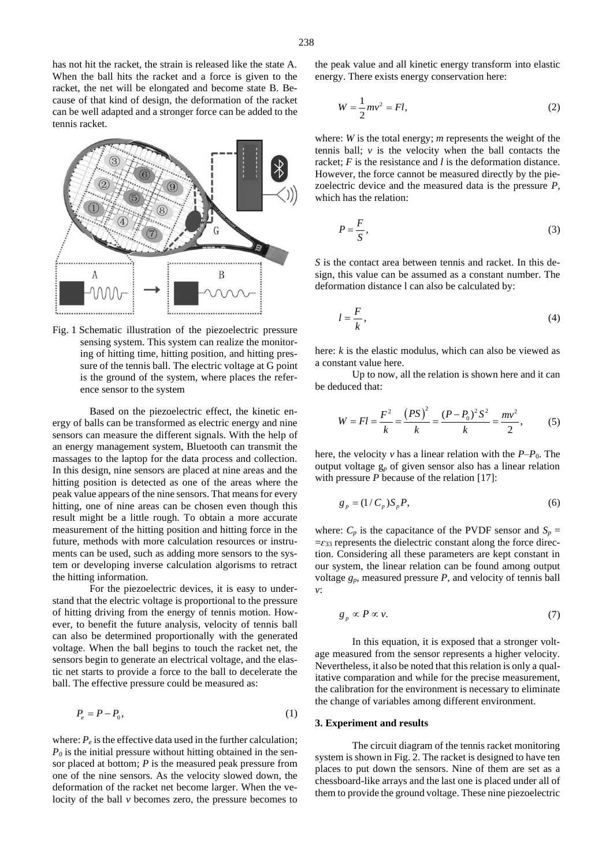has not hit the racket, the strain is released like the state A. When the ball hits the racket and a force is given to the racket, the net will be elongated and become state B. Because of that kind of design, the deformation of the racket can be well adapted and a stronger force can be added to the tennis racket.



Fig. 1 Schematic illustration of the piezoelectric pressure sensing system. This system can realize the monitoring of hitting time, hitting position, and hitting pressure of the tennis ball. The electric voltage at G point is the ground of the system, where places the reference sensor to the system

Based on the piezoelectric effect, the kinetic energy of balls can be transformed as electric energy and nine sensors can measure the different signals. With the help of an energy management system, Bluetooth can transmit the massages to the laptop for the data process and collection. In this design, nine sensors are placed at nine areas and the hitting position is detected as one of the areas where the peak value appears of the nine sensors. That means for every hitting, one of nine areas can be chosen even though this result might be a little rough. To obtain a more accurate measurement of the hitting position and hitting force in the future, methods with more calculation resources or instruments can be used, such as adding more sensors to the system or developing inverse calculation algorisms to retract the hitting information.

For the piezoelectric devices, it is easy to understand that the electric voltage is proportional to the pressure of hitting driving from the energy of tennis motion. However, to benefit the future analysis, velocity of tennis ball can also be determined proportionally with the generated voltage. When the ball begins to touch the racket net, the sensors begin to generate an electrical voltage, and the elastic net starts to provide a force to the ball to decelerate the ball. The effective pressure could be measured as:

$$
P_e = P - P_0,\tag{1}
$$

where:  $P_e$  is the effective data used in the further calculation;  $P_0$  is the initial pressure without hitting obtained in the sensor placed at bottom; *P* is the measured peak pressure from one of the nine sensors. As the velocity slowed down, the deformation of the racket net become larger. When the velocity of the ball *v* becomes zero, the pressure becomes to the peak value and all kinetic energy transform into elastic energy. There exists energy conservation here:

$$
W = \frac{1}{2}mv^2 = Fl,
$$
\n(2)

where: *W* is the total energy; *m* represents the weight of the tennis ball;  $\nu$  is the velocity when the ball contacts the racket; *F* is the resistance and *l* is the deformation distance. However, the force cannot be measured directly by the piezoelectric device and the measured data is the pressure *P*, which has the relation:

$$
P = \frac{F}{S},\tag{3}
$$

*S* is the contact area between tennis and racket. In this design, this value can be assumed as a constant number. The deformation distance l can also be calculated by:

$$
l = \frac{F}{k},\tag{4}
$$

here: *k* is the elastic modulus, which can also be viewed as a constant value here.

Up to now, all the relation is shown here and it can be deduced that:

$$
W = Fl = \frac{F^2}{k} = \frac{(PS)^2}{k} = \frac{(P - P_0)^2 S^2}{k} = \frac{mv^2}{2},
$$
 (5)

here, the velocity  $\nu$  has a linear relation with the  $P-P_0$ . The output voltage g*<sup>p</sup>* of given sensor also has a linear relation with pressure *P* because of the relation [17]:

$$
g_p = (1/C_p)S_p P,\tag{6}
$$

where:  $C_p$  is the capacitance of the PVDF sensor and  $S_p =$  $=\epsilon_{33}$  represents the dielectric constant along the force direction. Considering all these parameters are kept constant in our system, the linear relation can be found among output voltage  $g_p$ , measured pressure  $P$ , and velocity of tennis ball *v*:

$$
g_p \propto P \propto \nu. \tag{7}
$$

In this equation, it is exposed that a stronger voltage measured from the sensor represents a higher velocity. Nevertheless, it also be noted that this relation is only a qualitative comparation and while for the precise measurement, the calibration for the environment is necessary to eliminate the change of variables among different environment.

#### **3. Experiment and results**

The circuit diagram of the tennis racket monitoring system is shown in Fig. 2. The racket is designed to have ten places to put down the sensors. Nine of them are set as a chessboard-like arrays and the last one is placed under all of them to provide the ground voltage. These nine piezoelectric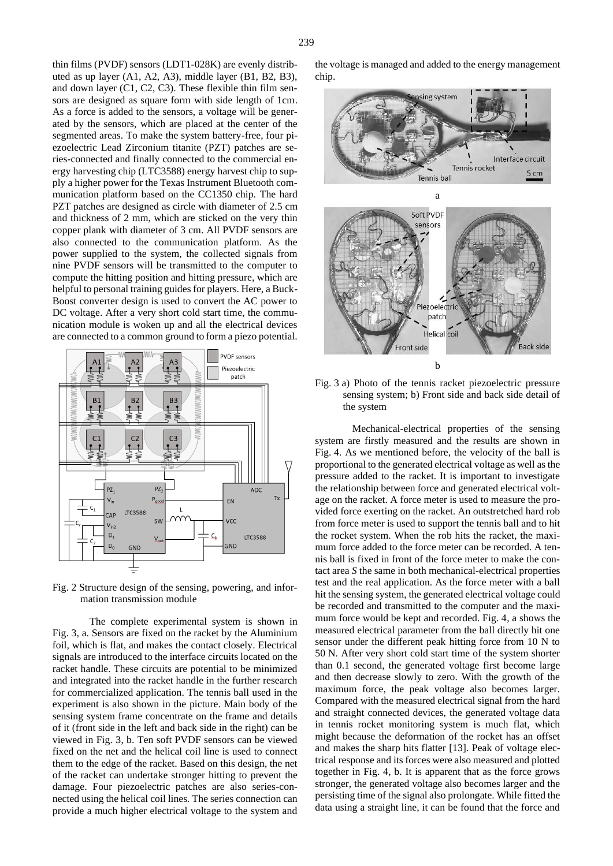thin films (PVDF) sensors (LDT1-028K) are evenly distributed as up layer (A1, A2, A3), middle layer (B1, B2, B3), and down layer (C1, C2, C3). These flexible thin film sensors are designed as square form with side length of 1cm. As a force is added to the sensors, a voltage will be generated by the sensors, which are placed at the center of the segmented areas. To make the system battery-free, four piezoelectric Lead Zirconium titanite (PZT) patches are series-connected and finally connected to the commercial energy harvesting chip (LTC3588) energy harvest chip to supply a higher power for the Texas Instrument Bluetooth communication platform based on the CC1350 chip. The hard PZT patches are designed as circle with diameter of 2.5 cm and thickness of 2 mm, which are sticked on the very thin copper plank with diameter of 3 cm. All PVDF sensors are also connected to the communication platform. As the power supplied to the system, the collected signals from nine PVDF sensors will be transmitted to the computer to compute the hitting position and hitting pressure, which are helpful to personal training guides for players. Here, a Buck-Boost converter design is used to convert the AC power to DC voltage. After a very short cold start time, the communication module is woken up and all the electrical devices are connected to a common ground to form a piezo potential.



Fig. 2 Structure design of the sensing, powering, and information transmission module

The complete experimental system is shown in Fig. 3, a. Sensors are fixed on the racket by the Aluminium foil, which is flat, and makes the contact closely. Electrical signals are introduced to the interface circuits located on the racket handle. These circuits are potential to be minimized and integrated into the racket handle in the further research for commercialized application. The tennis ball used in the experiment is also shown in the picture. Main body of the sensing system frame concentrate on the frame and details of it (front side in the left and back side in the right) can be viewed in Fig. 3, b. Ten soft PVDF sensors can be viewed fixed on the net and the helical coil line is used to connect them to the edge of the racket. Based on this design, the net of the racket can undertake stronger hitting to prevent the damage. Four piezoelectric patches are also series-connected using the helical coil lines. The series connection can provide a much higher electrical voltage to the system and the voltage is managed and added to the energy management chip.



Fig. 3 a) Photo of the tennis racket piezoelectric pressure sensing system; b) Front side and back side detail of the system

Mechanical-electrical properties of the sensing system are firstly measured and the results are shown in Fig. 4. As we mentioned before, the velocity of the ball is proportional to the generated electrical voltage as well as the pressure added to the racket. It is important to investigate the relationship between force and generated electrical voltage on the racket. A force meter is used to measure the provided force exerting on the racket. An outstretched hard rob from force meter is used to support the tennis ball and to hit the rocket system. When the rob hits the racket, the maximum force added to the force meter can be recorded. A tennis ball is fixed in front of the force meter to make the contact area *S* the same in both mechanical-electrical properties test and the real application. As the force meter with a ball hit the sensing system, the generated electrical voltage could be recorded and transmitted to the computer and the maximum force would be kept and recorded. Fig. 4, a shows the measured electrical parameter from the ball directly hit one sensor under the different peak hitting force from 10 N to 50 N. After very short cold start time of the system shorter than 0.1 second, the generated voltage first become large and then decrease slowly to zero. With the growth of the maximum force, the peak voltage also becomes larger. Compared with the measured electrical signal from the hard and straight connected devices, the generated voltage data in tennis rocket monitoring system is much flat, which might because the deformation of the rocket has an offset and makes the sharp hits flatter [13]. Peak of voltage electrical response and its forces were also measured and plotted together in Fig. 4, b. It is apparent that as the force grows stronger, the generated voltage also becomes larger and the persisting time of the signal also prolongate. While fitted the data using a straight line, it can be found that the force and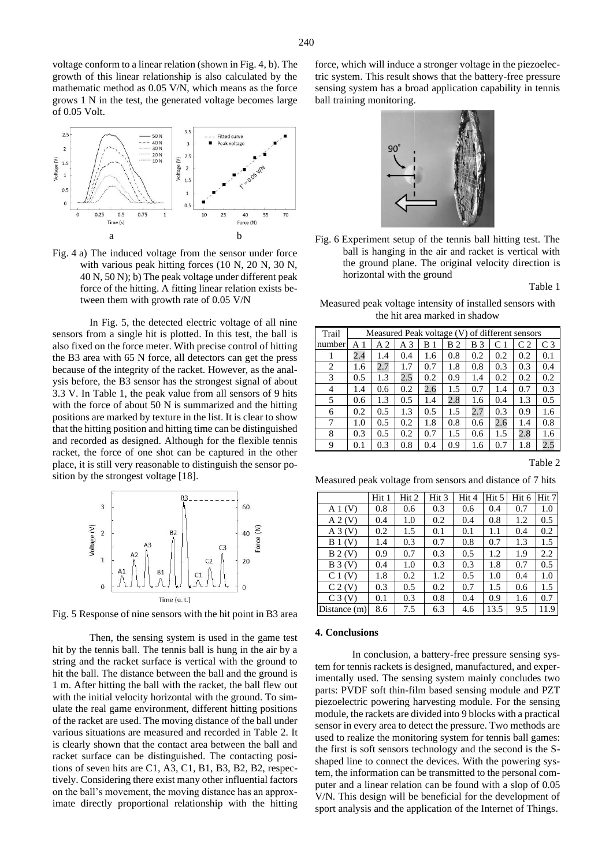voltage conform to a linear relation (shown in Fig. 4, b). The growth of this linear relationship is also calculated by the mathematic method as 0.05 V/N, which means as the force grows 1 N in the test, the generated voltage becomes large of 0.05 Volt.



Fig. 4 a) The induced voltage from the sensor under force with various peak hitting forces (10 N, 20 N, 30 N, 40 N, 50 N); b) The peak voltage under different peak force of the hitting. A fitting linear relation exists between them with growth rate of 0.05 V/N

In Fig. 5, the detected electric voltage of all nine sensors from a single hit is plotted. In this test, the ball is also fixed on the force meter. With precise control of hitting the B3 area with 65 N force, all detectors can get the press because of the integrity of the racket. However, as the analysis before, the B3 sensor has the strongest signal of about 3.3 V. In Table 1, the peak value from all sensors of 9 hits with the force of about 50 N is summarized and the hitting positions are marked by texture in the list. It is clear to show that the hitting position and hitting time can be distinguished and recorded as designed. Although for the flexible tennis racket, the force of one shot can be captured in the other place, it is still very reasonable to distinguish the sensor position by the strongest voltage [18].



Fig. 5 Response of nine sensors with the hit point in B3 area

Then, the sensing system is used in the game test hit by the tennis ball. The tennis ball is hung in the air by a string and the racket surface is vertical with the ground to hit the ball. The distance between the ball and the ground is 1 m. After hitting the ball with the racket, the ball flew out with the initial velocity horizontal with the ground. To simulate the real game environment, different hitting positions of the racket are used. The moving distance of the ball under various situations are measured and recorded in Table 2. It is clearly shown that the contact area between the ball and racket surface can be distinguished. The contacting positions of seven hits are C1, A3, C1, B1, B3, B2, B2, respectively. Considering there exist many other influential factors on the ball's movement, the moving distance has an approximate directly proportional relationship with the hitting

force, which will induce a stronger voltage in the piezoelectric system. This result shows that the battery-free pressure sensing system has a broad application capability in tennis ball training monitoring.



Fig. 6 Experiment setup of the tennis ball hitting test. The ball is hanging in the air and racket is vertical with the ground plane. The original velocity direction is horizontal with the ground

Table 1

Measured peak voltage intensity of installed sensors with the hit area marked in shadow

| Trail  | of different sensors<br>Measured Peak voltage (V) |     |                |     |        |     |               |                |                |  |  |
|--------|---------------------------------------------------|-----|----------------|-----|--------|-----|---------------|----------------|----------------|--|--|
| number | Αl                                                | A 2 | A <sub>3</sub> | В   | В<br>2 | B 3 | $\mathcal{C}$ | C <sub>2</sub> | C <sub>3</sub> |  |  |
|        | 2.4                                               | 1.4 | 0.4            | 1.6 | 0.8    | 0.2 | 0.2           | 0.2            | 0.1            |  |  |
| 2      | 1.6                                               | 2.7 | 1.7            | 0.7 | 1.8    | 0.8 | 0.3           | 0.3            | 0.4            |  |  |
| 3      | 0.5                                               | 1.3 | 2.5            | 0.2 | 0.9    | 1.4 | 0.2           | 0.2            | 0.2            |  |  |
| 4      | 1.4                                               | 0.6 | 0.2            | 2.6 | 1.5    | 0.7 | 1.4           | 0.7            | 0.3            |  |  |
| 5      | 0.6                                               | 1.3 | 0.5            | 1.4 | 2.8    | 1.6 | 0.4           | 1.3            | 0.5            |  |  |
| 6      | 0.2                                               | 0.5 | 1.3            | 0.5 | 1.5    | 2.7 | 0.3           | 0.9            | 1.6            |  |  |
| 7      | 1.0                                               | 0.5 | 0.2            | 1.8 | 0.8    | 0.6 | 2.6           | 1.4            | 0.8            |  |  |
| 8      | 0.3                                               | 0.5 | 0.2            | 0.7 | 1.5    | 0.6 | 1.5           | 2.8            | 1.6            |  |  |
| 9      | 0.1                                               | 0.3 | 0.8            | 0.4 | 0.9    | 1.6 | 0.7           | 1.8            | 2.5            |  |  |

Table 2

Measured peak voltage from sensors and distance of 7 hits

|                    | Hit 1 | Hit 2 | Hit 3 | Hit 4 | Hit 5 | Hit 6 | Hit <sub>7</sub> |
|--------------------|-------|-------|-------|-------|-------|-------|------------------|
| A1(V)              | 0.8   | 0.6   | 0.3   | 0.6   | 0.4   | 0.7   | 1.0              |
| A 2(V)             | 0.4   | 1.0   | 0.2   | 0.4   | 0.8   | 1.2   | 0.5              |
| A3(V)              | 0.2   | 1.5   | 0.1   | 0.1   | 1.1   | 0.4   | 0.2              |
| $B_1(V)$           | 1.4   | 0.3   | 0.7   | 0.8   | 0.7   | 1.3   | 1.5              |
| B 2(V)             | 0.9   | 0.7   | 0.3   | 0.5   | 1.2   | 1.9   | 2.2              |
| $B_3(V)$           | 0.4   | 1.0   | 0.3   | 0.3   | 1.8   | 0.7   | 0.5              |
| $C_1(V)$           | 1.8   | 0.2   | 1.2   | 0.5   | 1.0   | 0.4   | 1.0              |
| C <sub>2</sub> (V) | 0.3   | 0.5   | 0.2   | 0.7   | 1.5   | 0.6   | 1.5              |
| $C_3(V)$           | 0.1   | 0.3   | 0.8   | 0.4   | 0.9   | 1.6   | 0.7              |
| Distance (m)       | 8.6   | 7.5   | 6.3   | 4.6   | 13.5  | 9.5   | 11.9             |

#### **4. Conclusions**

In conclusion, a battery-free pressure sensing system for tennis rackets is designed, manufactured, and experimentally used. The sensing system mainly concludes two parts: PVDF soft thin-film based sensing module and PZT piezoelectric powering harvesting module. For the sensing module, the rackets are divided into 9 blocks with a practical sensor in every area to detect the pressure. Two methods are used to realize the monitoring system for tennis ball games: the first is soft sensors technology and the second is the Sshaped line to connect the devices. With the powering system, the information can be transmitted to the personal computer and a linear relation can be found with a slop of 0.05 V/N. This design will be beneficial for the development of sport analysis and the application of the Internet of Things.